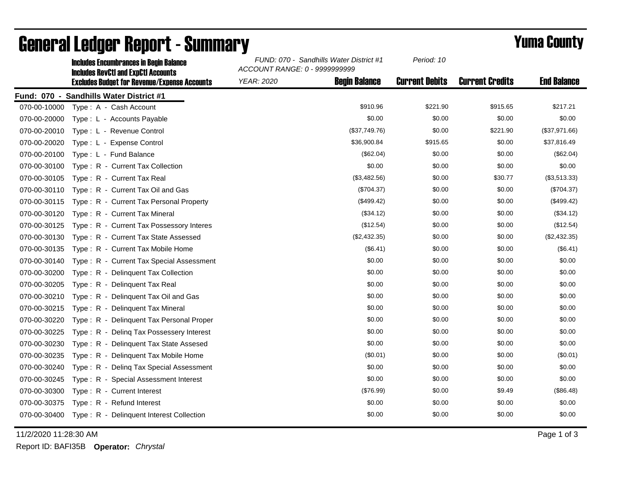|              | <b>Includes Encumbrances in Begin Balance</b><br><b>Includes RevCtI and ExpCtI Accounts</b><br><b>Excludes Budget for Revenue/Expense Accounts</b> | FUND: 070 - Sandhills Water District #1<br>ACCOUNT RANGE: 0 - 9999999999 |                      | Period: 10            |                        |                    |
|--------------|----------------------------------------------------------------------------------------------------------------------------------------------------|--------------------------------------------------------------------------|----------------------|-----------------------|------------------------|--------------------|
|              |                                                                                                                                                    | <b>YEAR: 2020</b>                                                        | <b>Begin Balance</b> | <b>Current Debits</b> | <b>Current Credits</b> | <b>End Balance</b> |
|              | Fund: 070 - Sandhills Water District #1                                                                                                            |                                                                          |                      |                       |                        |                    |
| 070-00-10000 | Type: A - Cash Account                                                                                                                             |                                                                          | \$910.96             | \$221.90              | \$915.65               | \$217.21           |
| 070-00-20000 | Type: L - Accounts Payable                                                                                                                         |                                                                          | \$0.00               | \$0.00                | \$0.00                 | \$0.00             |
| 070-00-20010 | Type: L - Revenue Control                                                                                                                          |                                                                          | (\$37,749.76)        | \$0.00                | \$221.90               | (\$37,971.66)      |
| 070-00-20020 | Type: L - Expense Control                                                                                                                          |                                                                          | \$36,900.84          | \$915.65              | \$0.00                 | \$37,816.49        |
| 070-00-20100 | Type: L - Fund Balance                                                                                                                             |                                                                          | (\$62.04)            | \$0.00                | \$0.00                 | (\$62.04)          |
| 070-00-30100 | Type: R - Current Tax Collection                                                                                                                   |                                                                          | \$0.00               | \$0.00                | \$0.00                 | \$0.00             |
| 070-00-30105 | Type: R - Current Tax Real                                                                                                                         |                                                                          | (\$3,482.56)         | \$0.00                | \$30.77                | (\$3,513.33)       |
| 070-00-30110 | Type: R - Current Tax Oil and Gas                                                                                                                  |                                                                          | (\$704.37)           | \$0.00                | \$0.00                 | (\$704.37)         |
| 070-00-30115 | Type: R - Current Tax Personal Property                                                                                                            |                                                                          | (\$499.42)           | \$0.00                | \$0.00                 | (\$499.42)         |
| 070-00-30120 | Type: R - Current Tax Mineral                                                                                                                      |                                                                          | (\$34.12)            | \$0.00                | \$0.00                 | (\$34.12)          |
| 070-00-30125 | Type: R - Current Tax Possessory Interes                                                                                                           |                                                                          | (\$12.54)            | \$0.00                | \$0.00                 | (\$12.54)          |
| 070-00-30130 | Type: R - Current Tax State Assessed                                                                                                               |                                                                          | (\$2,432.35)         | \$0.00                | \$0.00                 | (\$2,432.35)       |
| 070-00-30135 | Type: R - Current Tax Mobile Home                                                                                                                  |                                                                          | (\$6.41)             | \$0.00                | \$0.00                 | (\$6.41)           |
| 070-00-30140 | Type: R - Current Tax Special Assessment                                                                                                           |                                                                          | \$0.00               | \$0.00                | \$0.00                 | \$0.00             |
| 070-00-30200 | Type: R - Delinquent Tax Collection                                                                                                                |                                                                          | \$0.00               | \$0.00                | \$0.00                 | \$0.00             |
| 070-00-30205 | Type: R - Delinquent Tax Real                                                                                                                      |                                                                          | \$0.00               | \$0.00                | \$0.00                 | \$0.00             |
| 070-00-30210 | Type: R - Delinquent Tax Oil and Gas                                                                                                               |                                                                          | \$0.00               | \$0.00                | \$0.00                 | \$0.00             |
| 070-00-30215 | Type: R - Delinquent Tax Mineral                                                                                                                   |                                                                          | \$0.00               | \$0.00                | \$0.00                 | \$0.00             |
| 070-00-30220 | Type: R - Delinquent Tax Personal Proper                                                                                                           |                                                                          | \$0.00               | \$0.00                | \$0.00                 | \$0.00             |
| 070-00-30225 | Type: R - Deling Tax Possessery Interest                                                                                                           |                                                                          | \$0.00               | \$0.00                | \$0.00                 | \$0.00             |
| 070-00-30230 | Type: R - Delinquent Tax State Assesed                                                                                                             |                                                                          | \$0.00               | \$0.00                | \$0.00                 | \$0.00             |
| 070-00-30235 | Type: R - Delinquent Tax Mobile Home                                                                                                               |                                                                          | (\$0.01)             | \$0.00                | \$0.00                 | (\$0.01)           |
| 070-00-30240 | Type: R - Deling Tax Special Assessment                                                                                                            |                                                                          | \$0.00               | \$0.00                | \$0.00                 | \$0.00             |
| 070-00-30245 | Type: R - Special Assessment Interest                                                                                                              |                                                                          | \$0.00               | \$0.00                | \$0.00                 | \$0.00             |
| 070-00-30300 | Type: R - Current Interest                                                                                                                         |                                                                          | (\$76.99)            | \$0.00                | \$9.49                 | (\$86.48)          |
| 070-00-30375 | Type: R - Refund Interest                                                                                                                          |                                                                          | \$0.00               | \$0.00                | \$0.00                 | \$0.00             |
| 070-00-30400 | Type: R - Delinquent Interest Collection                                                                                                           |                                                                          | \$0.00               | \$0.00                | \$0.00                 | \$0.00             |

## General Ledger Report - Summary **Example 2018** Yuma County

11/2/2020 11:28:30 AM Page 1 of 3

Report ID: BAFI35B **Operator:** *Chrystal*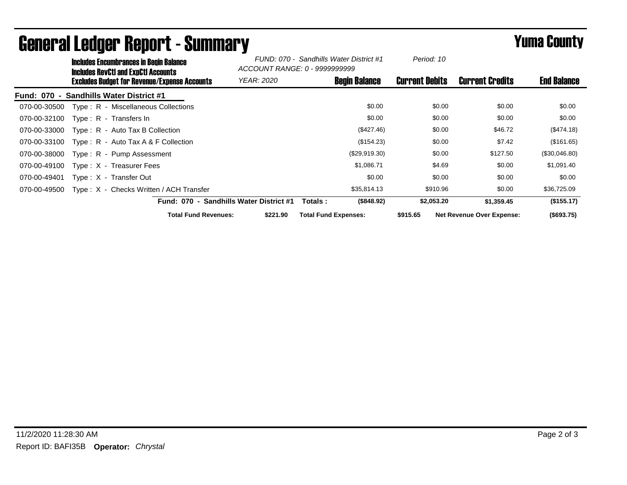|                                    | <b>Includes Encumbrances in Begin Balance</b><br><b>Includes RevCtI and ExpCtI Accounts</b> | FUND: 070 - Sandhills Water District #1<br>ACCOUNT RANGE: 0 - 9999999999 |                             | Period: 10            |                                  |                    |
|------------------------------------|---------------------------------------------------------------------------------------------|--------------------------------------------------------------------------|-----------------------------|-----------------------|----------------------------------|--------------------|
|                                    | <b>Excludes Budget for Revenue/Expense Accounts</b>                                         | <b>YEAR: 2020</b>                                                        | <b>Begin Balance</b>        | <b>Current Debits</b> | <b>Current Credits</b>           | <b>End Balance</b> |
| <b>Fund: 070</b><br>$\blacksquare$ | <b>Sandhills Water District #1</b>                                                          |                                                                          |                             |                       |                                  |                    |
| 070-00-30500                       | Type: R - Miscellaneous Collections                                                         |                                                                          | \$0.00                      | \$0.00                | \$0.00                           | \$0.00             |
| 070-00-32100                       | Type: R - Transfers In                                                                      |                                                                          | \$0.00                      | \$0.00                | \$0.00                           | \$0.00             |
| 070-00-33000                       | $Type: R - Auto Tax B Collection$                                                           |                                                                          | (\$427.46)                  | \$0.00                | \$46.72                          | (\$474.18)         |
| 070-00-33100                       | Type: $R -$ Auto Tax A & F Collection                                                       |                                                                          | (\$154.23)                  | \$0.00                | \$7.42                           | (\$161.65)         |
| 070-00-38000                       | Type: R - Pump Assessment                                                                   |                                                                          | (\$29,919.30)               | \$0.00                | \$127.50                         | (\$30,046.80)      |
| 070-00-49100                       | Type: X - Treasurer Fees                                                                    |                                                                          | \$1,086.71                  | \$4.69                | \$0.00                           | \$1,091.40         |
| 070-00-49401                       | Type: X - Transfer Out                                                                      |                                                                          | \$0.00                      | \$0.00                | \$0.00                           | \$0.00             |
| 070-00-49500                       | Type: X - Checks Written / ACH Transfer                                                     |                                                                          | \$35,814.13                 | \$910.96              | \$0.00                           | \$36,725.09        |
|                                    | <b>Fund: 070 -</b>                                                                          | <b>Sandhills Water District #1</b>                                       | (\$848.92)<br>Totals:       | \$2,053.20            | \$1,359.45                       | (\$155.17)         |
|                                    | <b>Total Fund Revenues:</b>                                                                 | \$221.90                                                                 | <b>Total Fund Expenses:</b> | \$915.65              | <b>Net Revenue Over Expense:</b> | (\$693.75)         |

## General Ledger Report - Summary **Example 2018** Yuma County